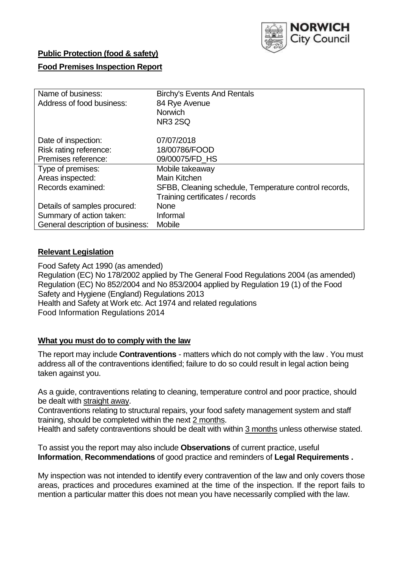

## **Public Protection (food & safety)**

### **Food Premises Inspection Report**

| Name of business:                | <b>Birchy's Events And Rentals</b>                    |
|----------------------------------|-------------------------------------------------------|
| Address of food business:        | 84 Rye Avenue                                         |
|                                  | <b>Norwich</b>                                        |
|                                  | <b>NR3 2SQ</b>                                        |
| Date of inspection:              | 07/07/2018                                            |
| Risk rating reference:           | 18/00786/FOOD                                         |
| Premises reference:              | 09/00075/FD HS                                        |
| Type of premises:                | Mobile takeaway                                       |
| Areas inspected:                 | Main Kitchen                                          |
| Records examined:                | SFBB, Cleaning schedule, Temperature control records, |
|                                  | Training certificates / records                       |
| Details of samples procured:     | <b>None</b>                                           |
| Summary of action taken:         | Informal                                              |
| General description of business: | Mobile                                                |

## **Relevant Legislation**

Food Safety Act 1990 (as amended) Regulation (EC) No 178/2002 applied by The General Food Regulations 2004 (as amended) Regulation (EC) No 852/2004 and No 853/2004 applied by Regulation 19 (1) of the Food Safety and Hygiene (England) Regulations 2013 Health and Safety at Work etc. Act 1974 and related regulations Food Information Regulations 2014

### **What you must do to comply with the law**

The report may include **Contraventions** - matters which do not comply with the law . You must address all of the contraventions identified; failure to do so could result in legal action being taken against you.

As a guide, contraventions relating to cleaning, temperature control and poor practice, should be dealt with straight away.

Contraventions relating to structural repairs, your food safety management system and staff training, should be completed within the next 2 months.

Health and safety contraventions should be dealt with within 3 months unless otherwise stated.

To assist you the report may also include **Observations** of current practice, useful **Information**, **Recommendations** of good practice and reminders of **Legal Requirements .**

My inspection was not intended to identify every contravention of the law and only covers those areas, practices and procedures examined at the time of the inspection. If the report fails to mention a particular matter this does not mean you have necessarily complied with the law.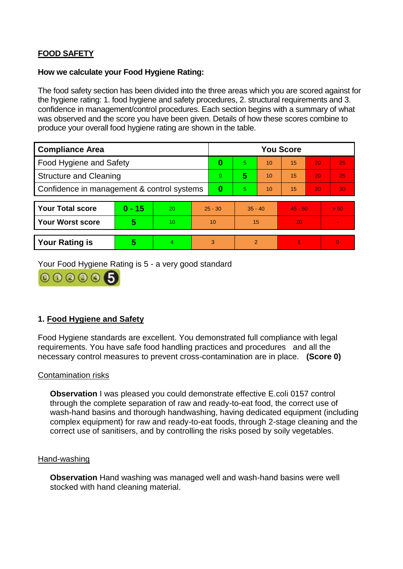# **FOOD SAFETY**

#### **How we calculate your Food Hygiene Rating:**

The food safety section has been divided into the three areas which you are scored against for the hygiene rating: 1. food hygiene and safety procedures, 2. structural requirements and 3. confidence in management/control procedures. Each section begins with a summary of what was observed and the score you have been given. Details of how these scores combine to produce your overall food hygiene rating are shown in the table.

| <b>Compliance Area</b>                     |          |    |           | <b>You Score</b> |                |    |           |    |          |  |  |
|--------------------------------------------|----------|----|-----------|------------------|----------------|----|-----------|----|----------|--|--|
| Food Hygiene and Safety                    |          |    |           | $\bf{0}$         | 5.             | 10 | 15        | 20 | 25       |  |  |
| <b>Structure and Cleaning</b>              |          |    | $\Omega$  | 5                | 10             | 15 | 20        | 25 |          |  |  |
| Confidence in management & control systems |          |    | $\bf{0}$  | 5                | 10             | 15 | 20        | 30 |          |  |  |
|                                            |          |    |           |                  |                |    |           |    |          |  |  |
| <b>Your Total score</b>                    | $0 - 15$ | 20 | $25 - 30$ |                  | $35 - 40$      |    | $45 - 50$ |    | > 50     |  |  |
| <b>Your Worst score</b>                    | 5        | 10 | 10        |                  | 15             |    | 20        |    |          |  |  |
|                                            |          |    |           |                  |                |    |           |    |          |  |  |
| <b>Your Rating is</b>                      | 5        | 4  | 3         |                  | $\overline{2}$ |    |           |    | $\Omega$ |  |  |

Your Food Hygiene Rating is 5 - a very good standard



# **1. Food Hygiene and Safety**

Food Hygiene standards are excellent. You demonstrated full compliance with legal requirements. You have safe food handling practices and procedures and all the necessary control measures to prevent cross-contamination are in place. **(Score 0)**

### Contamination risks

**Observation** I was pleased you could demonstrate effective E.coli 0157 control through the complete separation of raw and ready-to-eat food, the correct use of wash-hand basins and thorough handwashing, having dedicated equipment (including complex equipment) for raw and ready-to-eat foods, through 2-stage cleaning and the correct use of sanitisers, and by controlling the risks posed by soily vegetables.

#### Hand-washing

**Observation** Hand washing was managed well and wash-hand basins were well stocked with hand cleaning material.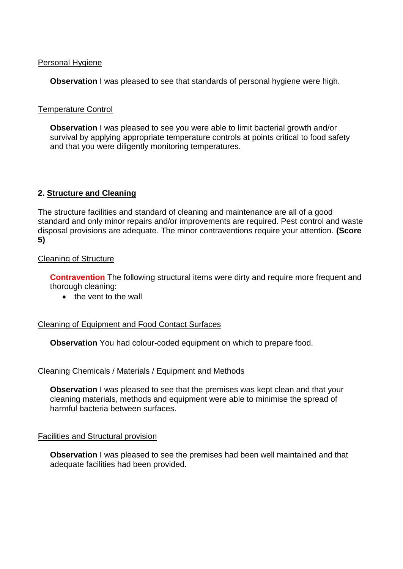### Personal Hygiene

**Observation** I was pleased to see that standards of personal hygiene were high.

## Temperature Control

**Observation** I was pleased to see you were able to limit bacterial growth and/or survival by applying appropriate temperature controls at points critical to food safety and that you were diligently monitoring temperatures.

# **2. Structure and Cleaning**

The structure facilities and standard of cleaning and maintenance are all of a good standard and only minor repairs and/or improvements are required. Pest control and waste disposal provisions are adequate. The minor contraventions require your attention. **(Score 5)**

## Cleaning of Structure

**Contravention** The following structural items were dirty and require more frequent and thorough cleaning:

 $\bullet$  the vent to the wall

### Cleaning of Equipment and Food Contact Surfaces

**Observation** You had colour-coded equipment on which to prepare food.

### Cleaning Chemicals / Materials / Equipment and Methods

**Observation** I was pleased to see that the premises was kept clean and that your cleaning materials, methods and equipment were able to minimise the spread of harmful bacteria between surfaces.

### Facilities and Structural provision

**Observation** I was pleased to see the premises had been well maintained and that adequate facilities had been provided.